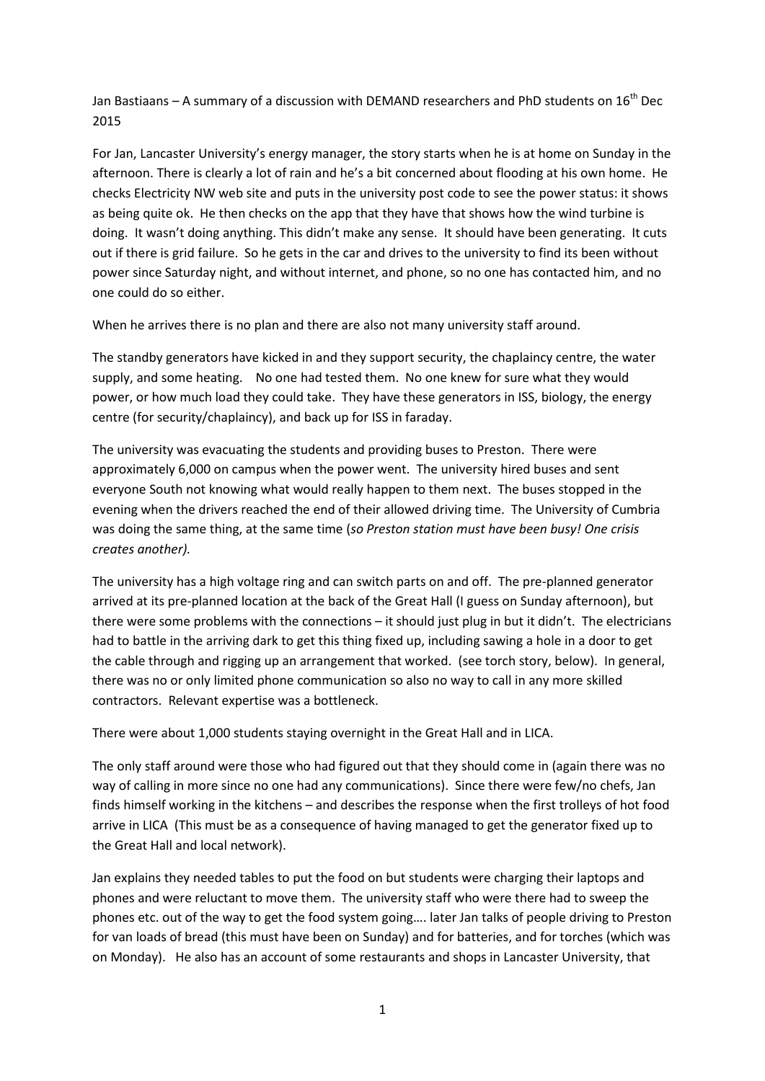Jan Bastiaans – A summary of a discussion with DEMAND researchers and PhD students on  $16^{th}$  Dec 2015

For Jan, Lancaster University's energy manager, the story starts when he is at home on Sunday in the afternoon. There is clearly a lot of rain and he's a bit concerned about flooding at his own home. He checks Electricity NW web site and puts in the university post code to see the power status: it shows as being quite ok. He then checks on the app that they have that shows how the wind turbine is doing. It wasn't doing anything. This didn't make any sense. It should have been generating. It cuts out if there is grid failure. So he gets in the car and drives to the university to find its been without power since Saturday night, and without internet, and phone, so no one has contacted him, and no one could do so either.

When he arrives there is no plan and there are also not many university staff around.

The standby generators have kicked in and they support security, the chaplaincy centre, the water supply, and some heating. No one had tested them. No one knew for sure what they would power, or how much load they could take. They have these generators in ISS, biology, the energy centre (for security/chaplaincy), and back up for ISS in faraday.

The university was evacuating the students and providing buses to Preston. There were approximately 6,000 on campus when the power went. The university hired buses and sent everyone South not knowing what would really happen to them next. The buses stopped in the evening when the drivers reached the end of their allowed driving time. The University of Cumbria was doing the same thing, at the same time (*so Preston station must have been busy! One crisis creates another).*

The university has a high voltage ring and can switch parts on and off. The pre-planned generator arrived at its pre-planned location at the back of the Great Hall (I guess on Sunday afternoon), but there were some problems with the connections – it should just plug in but it didn't. The electricians had to battle in the arriving dark to get this thing fixed up, including sawing a hole in a door to get the cable through and rigging up an arrangement that worked. (see torch story, below). In general, there was no or only limited phone communication so also no way to call in any more skilled contractors. Relevant expertise was a bottleneck.

There were about 1,000 students staying overnight in the Great Hall and in LICA.

The only staff around were those who had figured out that they should come in (again there was no way of calling in more since no one had any communications). Since there were few/no chefs, Jan finds himself working in the kitchens – and describes the response when the first trolleys of hot food arrive in LICA (This must be as a consequence of having managed to get the generator fixed up to the Great Hall and local network).

Jan explains they needed tables to put the food on but students were charging their laptops and phones and were reluctant to move them. The university staff who were there had to sweep the phones etc. out of the way to get the food system going…. later Jan talks of people driving to Preston for van loads of bread (this must have been on Sunday) and for batteries, and for torches (which was on Monday). He also has an account of some restaurants and shops in Lancaster University, that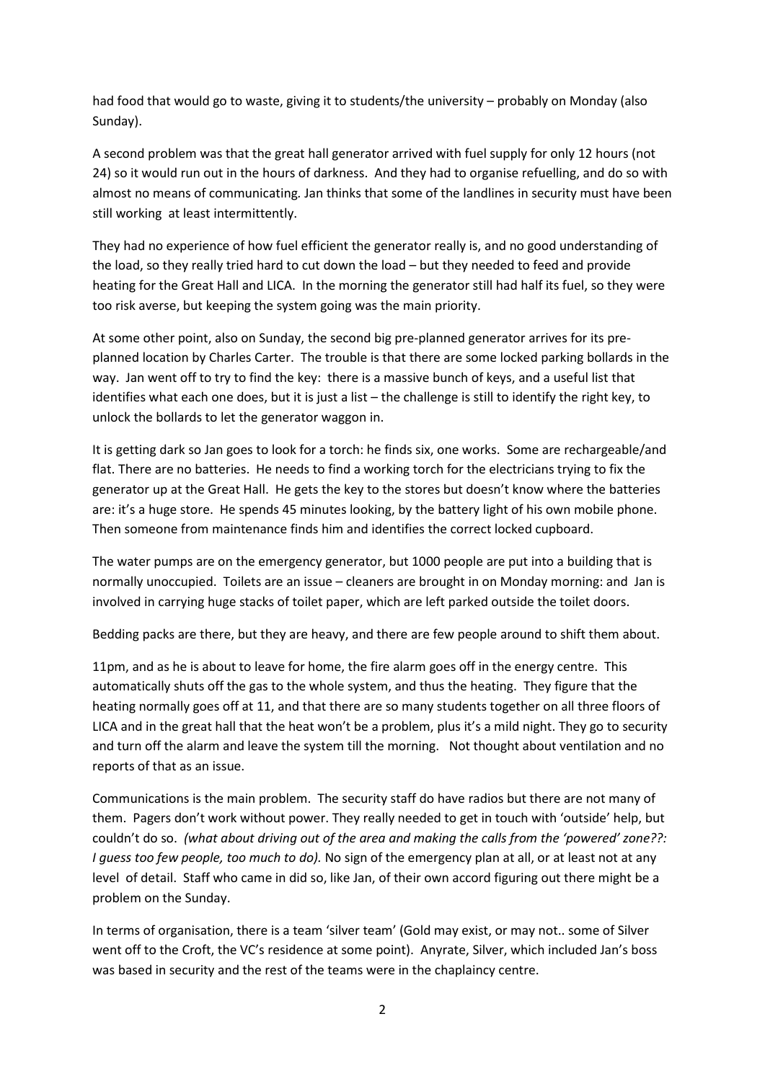had food that would go to waste, giving it to students/the university – probably on Monday (also Sunday).

A second problem was that the great hall generator arrived with fuel supply for only 12 hours (not 24) so it would run out in the hours of darkness. And they had to organise refuelling, and do so with almost no means of communicating*.* Jan thinks that some of the landlines in security must have been still working at least intermittently.

They had no experience of how fuel efficient the generator really is, and no good understanding of the load, so they really tried hard to cut down the load – but they needed to feed and provide heating for the Great Hall and LICA. In the morning the generator still had half its fuel, so they were too risk averse, but keeping the system going was the main priority.

At some other point, also on Sunday, the second big pre-planned generator arrives for its preplanned location by Charles Carter. The trouble is that there are some locked parking bollards in the way. Jan went off to try to find the key: there is a massive bunch of keys, and a useful list that identifies what each one does, but it is just a list – the challenge is still to identify the right key, to unlock the bollards to let the generator waggon in.

It is getting dark so Jan goes to look for a torch: he finds six, one works. Some are rechargeable/and flat. There are no batteries. He needs to find a working torch for the electricians trying to fix the generator up at the Great Hall. He gets the key to the stores but doesn't know where the batteries are: it's a huge store. He spends 45 minutes looking, by the battery light of his own mobile phone. Then someone from maintenance finds him and identifies the correct locked cupboard.

The water pumps are on the emergency generator, but 1000 people are put into a building that is normally unoccupied. Toilets are an issue – cleaners are brought in on Monday morning: and Jan is involved in carrying huge stacks of toilet paper, which are left parked outside the toilet doors.

Bedding packs are there, but they are heavy, and there are few people around to shift them about.

11pm, and as he is about to leave for home, the fire alarm goes off in the energy centre. This automatically shuts off the gas to the whole system, and thus the heating. They figure that the heating normally goes off at 11, and that there are so many students together on all three floors of LICA and in the great hall that the heat won't be a problem, plus it's a mild night. They go to security and turn off the alarm and leave the system till the morning. Not thought about ventilation and no reports of that as an issue.

Communications is the main problem. The security staff do have radios but there are not many of them. Pagers don't work without power. They really needed to get in touch with 'outside' help, but couldn't do so. *(what about driving out of the area and making the calls from the 'powered' zone??: I guess too few people, too much to do).* No sign of the emergency plan at all, or at least not at any level of detail. Staff who came in did so, like Jan, of their own accord figuring out there might be a problem on the Sunday.

In terms of organisation, there is a team 'silver team' (Gold may exist, or may not.. some of Silver went off to the Croft, the VC's residence at some point). Anyrate, Silver, which included Jan's boss was based in security and the rest of the teams were in the chaplaincy centre.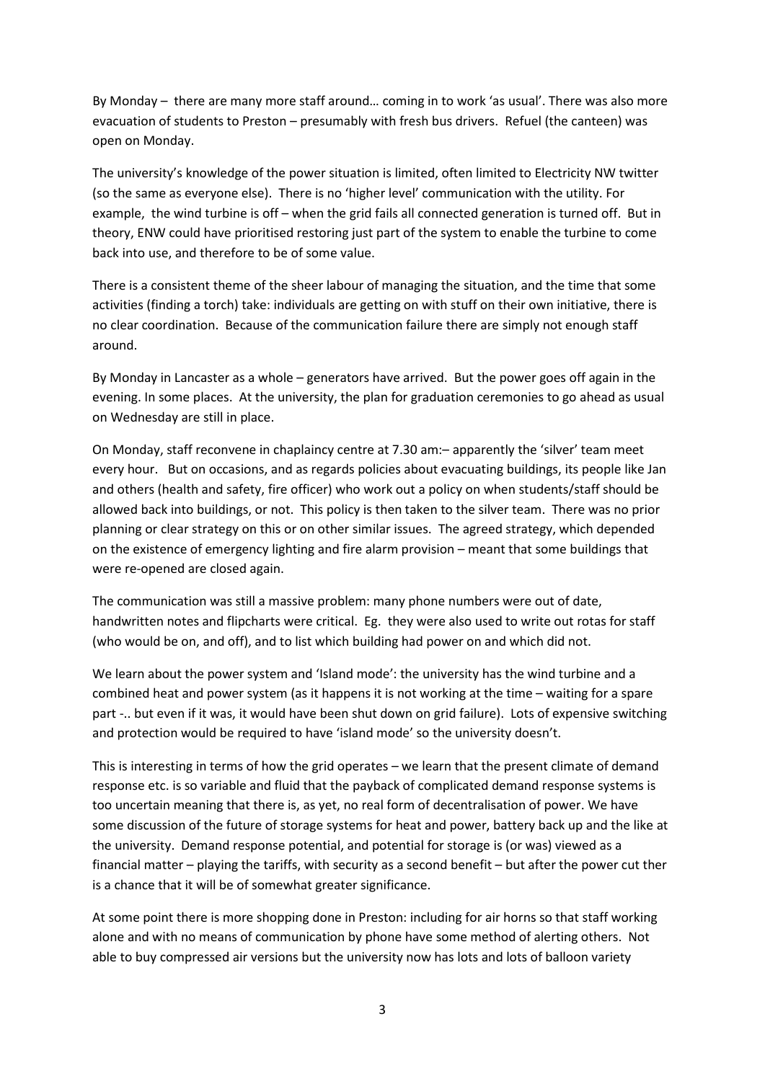By Monday – there are many more staff around… coming in to work 'as usual'. There was also more evacuation of students to Preston – presumably with fresh bus drivers. Refuel (the canteen) was open on Monday.

The university's knowledge of the power situation is limited, often limited to Electricity NW twitter (so the same as everyone else). There is no 'higher level' communication with the utility. For example, the wind turbine is off – when the grid fails all connected generation is turned off. But in theory, ENW could have prioritised restoring just part of the system to enable the turbine to come back into use, and therefore to be of some value.

There is a consistent theme of the sheer labour of managing the situation, and the time that some activities (finding a torch) take: individuals are getting on with stuff on their own initiative, there is no clear coordination. Because of the communication failure there are simply not enough staff around.

By Monday in Lancaster as a whole – generators have arrived. But the power goes off again in the evening. In some places. At the university, the plan for graduation ceremonies to go ahead as usual on Wednesday are still in place.

On Monday, staff reconvene in chaplaincy centre at 7.30 am:– apparently the 'silver' team meet every hour. But on occasions, and as regards policies about evacuating buildings, its people like Jan and others (health and safety, fire officer) who work out a policy on when students/staff should be allowed back into buildings, or not. This policy is then taken to the silver team. There was no prior planning or clear strategy on this or on other similar issues. The agreed strategy, which depended on the existence of emergency lighting and fire alarm provision – meant that some buildings that were re-opened are closed again.

The communication was still a massive problem: many phone numbers were out of date, handwritten notes and flipcharts were critical. Eg. they were also used to write out rotas for staff (who would be on, and off), and to list which building had power on and which did not.

We learn about the power system and 'Island mode': the university has the wind turbine and a combined heat and power system (as it happens it is not working at the time – waiting for a spare part -.. but even if it was, it would have been shut down on grid failure). Lots of expensive switching and protection would be required to have 'island mode' so the university doesn't.

This is interesting in terms of how the grid operates – we learn that the present climate of demand response etc. is so variable and fluid that the payback of complicated demand response systems is too uncertain meaning that there is, as yet, no real form of decentralisation of power. We have some discussion of the future of storage systems for heat and power, battery back up and the like at the university. Demand response potential, and potential for storage is (or was) viewed as a financial matter – playing the tariffs, with security as a second benefit – but after the power cut ther is a chance that it will be of somewhat greater significance.

At some point there is more shopping done in Preston: including for air horns so that staff working alone and with no means of communication by phone have some method of alerting others. Not able to buy compressed air versions but the university now has lots and lots of balloon variety